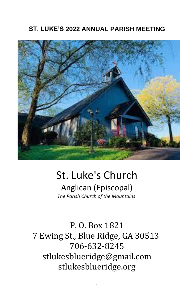### **ST. LUKE'S 2022 ANNUAL PARISH MEETING**



# St. Luke's Church

Anglican (Episcopal) *The Parish Church of the Mountains*

## P. O. Box 1821 7 Ewing St., Blue Ridge, GA 30513 706-632-8245 stlukesblueridge@gmail.com stlukesblueridge.org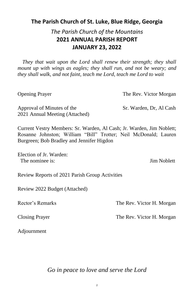### **The Parish Church of St. Luke, Blue Ridge, Georgia**

### *The Parish Church of the Mountains* **2021 ANNUAL PARISH REPORT JANUARY 23, 2022**

Approval of Minutes of the Sr. Warden, Dr, Al Cash 2021 Annual Meeting (Attached)

 *They that wait upon the Lord shall renew their strength; they shall*  mount up with wings as eagles; they shall run, and not be weary; and *they shall walk, and not faint, teach me Lord, teach me Lord to wait*

Opening Prayer The Rev. Victor Morgan

Election of Jr. Warden: The nominee is: Jim Noblett

Current Vestry Members: Sr. Warden, Al Cash; Jr. Warden, Jim Noblett; Rosanne Johnston; William "Bill" Trotter; Neil McDonald; Lauren Burgreen; Bob Bradley and Jennifer Higdon

Review Reports of 2021 Parish Group Activities

Review 2022 Budget (Attached)

Rector's Remarks The Rev. Victor H. Morgan

Closing Prayer The Rev. Victor H. Morgan

### Adjournment

### *Go in peace to love and serve the Lord*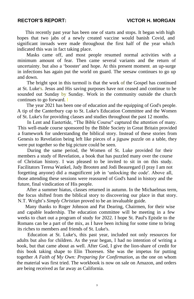### **RECTOR'S REPORT: VICTOR H. MORGAN**

This recently past year has been one of starts and stops. It began with high hopes that two jabs of a newly created vaccine would banish Covid, and significant inroads were made throughout the first half of the year which indicated this was in fact taking place.

Masks came off, and most people resumed normal activities with a minimum amount of fear. Then came several variants and the return of uncertainty, but also a 'booster' and hope. At this present moment, an up-surge in infections has again put the world on guard. The seesaw continues to go up and down.

The bright spot in this turmoil is that the work of the Gospel has continued at St. Luke's. Jesus and His saving purposes have not ceased and continue to be sounded out Sunday by Sunday. Work in the community outside the church continues to go forward. I

The year 2021 has been one of education and the equipping of God's people. A tip of the Canterbury cap to St. Luke's Education Committee and the Women of St. Luke's for providing classes and studies throughout the past 12 months.

In Lent and Eastertide, "The Bible Course" captured the attention of many. This well-made course sponsored by the Bible Society in Great Britain provided a framework for understanding the biblical story. Instead of these stories from Genesis to Revelation being left like pieces of a jigsaw puzzle on a table, they were put together so the big picture could be seen.

During the same period, the Women of St. Luke provided for their members a study of Revelation, a book that has puzzled many over the course of Christian history. I was pleased to be invited to sit in on this study. Facilitators Teresa Wankel, Judy Brooten and Jodi Beauregard (I pray I am not forgetting anyone) did a magnificent job in 'unlocking the code'. Above all, those attending these sessions were reassured of God's hand in history and the future, final vindication of His people.

After a summer hiatus, classes returned in autumn. In the Michaelmas term, the focus shifted from the biblical story to discovering our place in that story. N.T. Wright's *Simply Christian* proved to be an invaluable guide.

Many thanks to Roger Johnson and Pat Dearing, Chairmen, for their wise and capable leadership. The education committee will be meeting in a few weeks to chart out a program of study for 2022. I hope St. Paul's Epistle to the Romans can be a part of the mix, as I have been itching for some time to bring its riches to members and friends of St. Luke's. Education at St. Luke's, this past year, included not only resources for adults but also for children. As the year began, I had no intention of writing a book, but that came about as well. After God, I give the lion-share of credit for this book taking shape to Elin Thoresen. She was the impetus for putting together *A Faith of* M*y Own: Preparing for Confirmation,* as the one on whom the material was first tried. The workbook is now on sale on Amazon, and orders are being received as far away as California.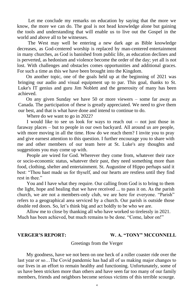Let me conclude my remarks on education by saying that the more we know, the more we can do. The goal is not head knowledge alone but gaining the tools and understanding that will enable us to live out the Gospel in the world and above all to be witnesses.

The West may well be entering a new dark age as Bible knowledge decreases, as God-centered worship is replaced by man-centered entertainment in many churches, as God is banished from public life, as education declines and is perverted, as hedonism and violence become the order of the day; yet all is not lost. With challenges and obstacles comes opportunities and additional graces. For such a time as this we have been brought into the Kingdom.

On another topic, one of the goals held up at the beginning of 2021 was bringing our audio and visual equipment up to par. This goal, thanks to St. Luke's IT genius and guru Jim Noblett and the generosity of many has been achieved.

On any given Sunday we have 50 or more viewers – some far away as Canada. The participation of these is greatly appreciated. We need to give them our best, and that is what have done and intend to continue to do.

Where do we want to go in 2022?

I would like to see us look for ways to reach out -- not just those in faraway places – but to people in our own backyard. All around us are people, with more moving in all the time. How do we reach them? I invite you to pray and give earnest attention to this question. I further encourage you to share with me and other members of our team here at St. Luke's any thoughts and suggestions you may come up with.

People are wired for God. Wherever they come from, whatever their race or socio-economic status, whatever their past, they need something more than food, clothing, shelter and entertainment. St. Augustine of Hippo perhaps said it best: "Thou hast made us for thyself, and our hearts are restless until they find rest in thee."

You and I have what they require. Our calling from God is to bring to them the light, hope and healing that we have received ... to pass it on. As the parish church, we are not a members-only club, we are here for everyone. "Parish" refers to a geographical area serviced by a church. Our parish is outside those double red doors. So, let's think big and act boldly to be who we are.

Allow me to close by thanking all who have worked so tirelessly in 2021. Much has been achieved, but much remains to be done. "Come, labor on!"

### **VERGER'S REPORT: W. A. "TONY" MCCONNELL**

### Greetings from the Verger

My goodness, have we not been on one heck of a roller coaster ride over the last year or so…The Covid pandemic has had all of us making major changes to our lives in an effort to remain healthy and functioning. Unfortunately, some of us have been stricken more than others and have seen far too many of our family members, friends and neighbors become serious victims of this terrible scourge.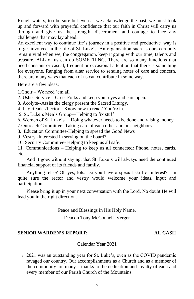Rough waters, too be sure but even as we acknowledge the past, we must look up and forward with prayerful confidence that our faith in Christ will carry us through and give us the strength, discernment and courage to face any challenges that may lay ahead.

An excellent way to continue life's journey in a positive and productive way is to get involved in the life of St. Luke's. An organization such as ours can only remain vital when we, the congregation, keep it going with our time, talents and treasure. ALL of us can do SOMETHING. There are so many functions that need constant or casual, frequent or occasional attention that there is something for everyone. Ranging from altar service to sending notes of care and concern, there are many ways that each of us can contribute in some way.

Here are a few ideas:

1.Choir – We need 'em all

2. Usher Service – Greet Folks and keep your eyes and ears open.

3. Acolyte--Assist the clergy present the Sacred Liturgy.

4. Lay Reader/Lector—Know how to read? You're in.

5. St. Luke's Men's Group—Helping to fix stuff

6. Women of St. Luke's— Doing whatever needs to be done and raising money

7.Outreach Committee- Taking care of each other and our neighbors

8. Education Committee-Helping to spread the Good News

9. Vestry -Interested in serving on the board?

10. Security Committee- Helping to keep us all safe.

11. Communications – Helping to keep us all connected: Phone, notes, cards, etc.

And it goes without saying, that St. Luke's will always need the continued financial support of its friends and family.

Anything else? Oh yes, lots. Do you have a special skill or interest? I'm quite sure the rector and vestry would welcome your ideas, input and participation.

Please bring it up in your next conversation with the Lord. No doubt He will lead you in the right direction.

Peace and Blessings in His Holy Name,

Deacon Tony McConnell Verger

### **SENIOR WARDEN'S REPORT: AL CASH**

### Calendar Year 2021

• 2021 was an outstanding year for St. Luke's, even as the COVID pandemic ravaged our country. Our accomplishments as a Church and as a member of the community are many – thanks to the dedication and loyalty of each and every member of our Parish Church of the Mountains.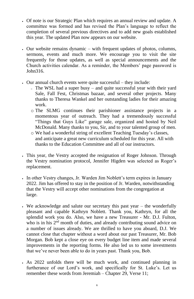- Of note is our Strategic Plan which requires an annual review and update. A committee was formed and has revised the Plan's language to reflect the completion of several previous directives and to add new goals established this year. The updated Plan now appears on our website.
- Our website remains dynamic with frequent updates of photos, columns, sermons, events and much more. We encourage you to visit the site frequently for those updates, as well as special announcements and the Church activities calendar. As a reminder, the Members' page password is John316.
- Our annual church events were quite successful they include:
	- <sup>o</sup> The WSL had a super busy and quite successful year with their yard Sale, Fall Fest, Christmas bazaar, and several other projects. Many thanks to Theresa Wankel and her outstanding ladies for their amazing work.
	- o The SLMG continues their parishioner assistance projects in a momentous year of outreach. They had a tremendously successful "Things that Guys Like" garage sale, organized and hosted by Neil McDonald. Many thanks to you, Sir, and to your talented group of men.
	- o We had a wonderful string of excellent Teaching Tuesday's classes, and anticipate a great new curriculum scheduled for this year. All with thanks to the Education Committee and all of our instructors.
- This year, the Vestry accepted the resignation of Roger Johnson. Through the Vestry nomination protocol, Jennifer Higden was selected as Roger's replacement.
- In other Vestry changes, Jr. Warden Jim Noblett's term expires in January 2022. Jim has offered to stay in the position of Jr. Warden, notwithstanding that the Vestry will accept other nominations from the congregation at large.
- We acknowledge and salute our secretary this past year the wonderfully pleasant and capable Kathryn Noblett. Thank you, Kathryn, for all the splendid work you do. Also, we have a new Treasurer - Mr. D.J. Fulton,

who is in his  $2<sup>nd</sup>$  month of duties, and already contributing sound advice on a number of issues already. We are thrilled to have you aboard, D.J. We cannot close that chapter without a word about our past Treasurer, Mr. Bob Morgan. Bob kept a close eye on every budget line item and made several improvements in the reporting forms. He also led us to some investments that we've never been able to do in years past. Thank you, Bob.

• As 2022 unfolds there will be much work, and continued planning in furtherance of our Lord's work, and specifically for St. Luke's. Let us remember these words from Jeremiah – Chapter 29, Verse 11;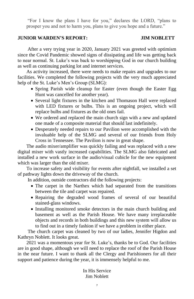"For I know the plans I have for you," declares the LORD, "plans to prosper you and not to harm you, plans to give you hope and a future."

### **JUNIOR WARDEN'S REPORT: JIM NOBLETT**

After a very trying year in 2020, January 2021 was greeted with optimism since the Covid Pandemic showed signs of dissipating and life was getting back to near normal. St. Luke's was back to worshipping God in our church building as well as continuing parking lot and internet services.

 As activity increased, there were needs to make repairs and upgrades to our facilities. We completed the following projects with the very much appreciated help of the St. Luke's Men's Group (SLMG):

- Spring Parish wide cleanup for Easter (even though the Easter Egg Hunt was cancelled for another year).
- Several light fixtures in the kitchen and Thomason Hall were replaced with LED fixtures or bulbs. This is an ongoing project, which will replace bulbs and fixtures as the old ones fail.
- We ordered and replaced the main church sign with a new and updated one made of a composite material that should last indefinitely.
- Desperately needed repairs to our Pavilion were accomplished with the invaluable help of the SLMG and several of our friends from Holy Cross in Tennessee. The Pavilion is now in great shape.

The audio mixer/amplifier was quickly failing and was replaced with a new digital mixer with vastly increased capabilities. The SLMG also fabricated and installed a new work surface in the audio/visual cubicle for the new equipment which was larger than the old mixer.

To increase safety and visibility for events after nightfall, we installed a set of pathway lights down the driveway of the church.

In addition, outside contractors did the following projects:

- The carpet in the Narthex which had separated from the transitions between the tile and carpet was repaired.
- Repairing the degraded wood frames of several of our beautiful stained-glass windows.
- Installing monitored smoke detectors in the main church building and basement as well as the Parish House. We have many irreplaceable

objects and records in both buildings and this new system will allow us to find out in a timely fashion if we have a problem in either place. The church carpet was cleaned by two of our ladies, Jennifer Higdon and Kathryn Noblett. It looks great.

2021 was a momentous year for St. Luke's, thanks be to God. Our facilities are in good shape, although we will need to replace the roof of the Parish House in the near future. I want to thank all the Clergy and Parishioners for all their support and patience during the year, it is immensely helpful to me.

> In His Service Jim Noblett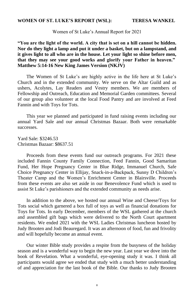### **WOMEN OF ST. LUKE'S REPORT (WSL): TERESA WANKEL**

### Women of St Luke's Annual Report for 2021

**"You are the light of the world. A city that is set on a hill cannot be hidden. Nor do they light a lamp and put it under a basket, but on a lampstand, and it gives light to all who are in the house. Let your light so shine before men, that they may see your good works and glorify your Father in heaven." Matthew 5:14-16 New King James Version (NKJV)** 

The Women of St Luke's are highly active in the life here at St Luke's Church and in the extended community. We serve on the Altar Guild and as ushers, Acolytes, Lay Readers and Vestry members. We are members of Fellowship and Outreach, Education and Memorial Garden committees. Several of our group also volunteer at the local Food Pantry and are involved at Feed Fannin and with Toys for Tots.

This year we planned and participated in fund raising events including our annual Yard Sale and our annual Christmas Bazaar. Both were remarkable successes.

Yard Sale: \$3246.53 Christmas Bazaar: \$8637.51

Proceeds from these events fund our outreach programs. For 2021 these included Fannin County Family Connection, Feed Fannin, Good Samaritan Fund, Her Hope Pregnancy Center in Blue Ridge, Immanuel Church, Safe Choice Pregnancy Center in Ellijay, Snack-in-a-Backpack, Sunny D Children's Theater Camp and the Women's Enrichment Center in Blairsville. Proceeds from these events are also set aside in our Benevolence Fund which is used to assist St Luke's parishioners and the extended community as needs arise.

In addition to the above, we hosted our annual Wine and Cheese/Toys for Tots social which garnered a box full of toys as well as financial donations for Toys for Tots. In early December, members of the WSL gathered at the church and assembled gift bags which were delivered to the North Court apartment

residents. We ended 2021 with the WSL Ladies Christmas luncheon hosted by Judy Brooten and Jodi Beauregard. It was an afternoon of food, fun and frivolity and will hopefully become an annual event.

Our winter Bible study provides a respite from the busyness of the holiday season and is a wonderful way to begin the new year. Last year we dove into the book of Revelation. What a wonderful, eye-opening study it was. I think all participants would agree we ended that study with a much better understanding of and appreciation for the last book of the Bible. Our thanks to Judy Brooten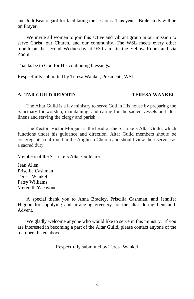and Jodi Beauregard for facilitating the sessions. This year's Bible study will be on Prayer.

We invite all women to join this active and vibrant group in our mission to serve Christ, our Church, and our community. The WSL meets every other month on the second Wednesday at 9:30 a.m. in the Yellow Room and via Zoom.

Thanks be to God for His continuing blessings.

Respectfully submitted by Teresa Wankel, President , WSL

### **ALTAR GUILD REPORT: TERESA WANKEL**

The Altar Guild is a lay ministry to serve God in His house by preparing the Sanctuary for worship, maintaining, and caring for the sacred vessels and altar linens and serving the clergy and parish.

The Rector, Victor Morgan, is the head of the St Luke's Altar Guild, which functions under his guidance and direction. Altar Guild members should be congregants confirmed in the Anglican Church and should view their service as a sacred duty.

Members of the St Luke's Altar Guild are:

Jean Allen Priscilla Cashman Teresa Wankel Patsy Williams Meredith Yacavone

A special thank you to Anna Bradley, Priscilla Cashman, and Jennifer Higdon for supplying and arranging greenery for the altar during Lent and Advent.

We gladly welcome anyone who would like to serve in this ministry. If you are interested in becoming a part of the Altar Guild, please contact anyone of the members listed above.

Respectfully submitted by Teresa Wankel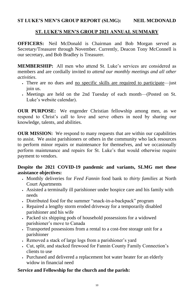### ST LUKE'S MEN'S GROUP REPORT (SLMG): NEIL MCDONALD

### **ST. LUKE'S MEN'S GROUP 2021 ANNUAL SUMMARY**

**OFFICERS:** Neil McDonald is Chairman and Bob Morgan served as Secretary/Treasurer through November. Currently, Deacon Tony McConnell is our secretary, and Bob Bradley is Treasurer.

- There are no dues and <u>no specific skills are required to participate</u>—just join us.
- Meetings are held on the 2nd Tuesday of each month—(Posted on St. Luke's website calendar).

**MEMBERSHIP:** All men who attend St. Luke's services are considered as members and are cordially invited *to attend our monthly meetings and all other activities*.

**OUR MISSION:** We respond to many requests that are within our capabilities to assist. We assist parishioners or others in the community who lack resources to perform minor repairs or maintenance for themselves, and we occasionally perform maintenance and repairs for St. Luke's that would otherwise require payment to vendors.

**OUR PURPOSE:** We engender Christian fellowship among men, as we respond to Christ's call to love and serve others in need by sharing our knowledge, talents, and abilities.

### **Despite the 2021 COVID-19 pandemic and variants, SLMG met these assistance objectives:**

- Monthly deliveries for *Feed Fannin* food bank to *thirty families* at North Court Apartments
- Assisted a terminally ill parishioner under hospice care and his family with needs
- Distributed food for the summer "snack-in-a-backpack" program
- Repaired a lengthy storm eroded driveway for a temporarily disabled parishioner and his wife
- Packed six shipping pods of household possessions for a widowed parishioner's move to Canada
- Transported possessions from a rental to a cost-free storage unit for a parishioner
- Removed a stack of large logs from a parishioner's yard
- Cut, split, and stacked firewood for Fannin County Family Connection's clients to use
- Purchased and delivered a replacement hot water heater for an elderly widow in financial need

### **Service and Fellowship for the church and the parish:**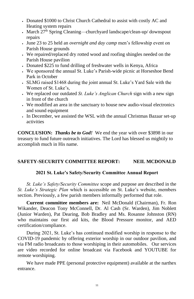- Donated \$1000 to Christ Church Cathedral to assist with costly AC and Heating system repairs
- March  $27<sup>th</sup>$  Spring Cleaning—churchyard landscape/clean-up/ downspout repairs
- June 23 to 25 held an *overnight and day camp* men's fellowship event on Parish House grounds
- We repaired/replaced dry rotted wood and roofing shingles needed on the Parish House pavilion
- Donated \$225 to fund drilling of freshwater wells in Kenya, Africa
- We sponsored the annual St. Luke's Parish-wide picnic at Horseshoe Bend Park in October
- SLMG raised \$1468 during the joint annual St. Luke's Yard Sale with the Women of St. Luke's,
- We replaced our outdated *St. Luke's Anglican Church* sign with a new sign in front of the church
- We modified an area in the sanctuary to house new audio-visual electronics and sound equipment
- In December, we assisted the WSL with the annual Christmas Bazaar set-up activities

**CONCLUSION:** *Thanks be to God!* We end the year with over \$3898 in our treasury to fund future outreach initiatives. The Lord has blessed us mightily to accomplish much in His name.

### **SAFETY-SECURITY COMMITTEE REPORT: NEIL MCDONALD**

### **2021 St. Luke's Safety/Security Committee Annual Report**

*St. Luke's Safety/Security Committee* scope and purpose are described in the *St. Luke's Strategic Plan* which is accessible on St. Luke's website, members section. Previously, a few parish members informally performed that role.

**Current committee members are:** Neil McDonald (Chairman), Fr. Ron Wikander, Deacon Tony McConnell, Dr. Al Cash (Sr. Warden), Jim Noblett (Junior Warden), Pat Dearing, Bob Bradley and Ms. Rosanne Johnston (RN) who maintains our first aid kits, the Blood Pressure monitor, and AED certification/compliance.

During 2021, St. Luke's has continued modified worship in response to the COVID-19 pandemic by offering exterior worship in our outdoor pavilion, and via FM radio broadcasts to those worshiping in their automobiles. Our services are video recorded for online broadcast via Facebook and YOUTUBE for remote worshiping.

We have made PPE (personal protective equipment) available at the narthex entrance.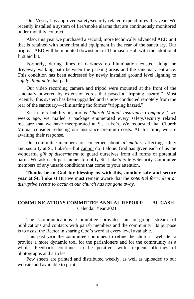Our Vestry has approved safety/security related expenditures this year. We recently installed a system of fire/smoke alarms that are continuously monitored under monthly contract.

Also, this year we purchased a second, more technically advanced AED unit that is retained with other first aid equipment in the rear of the sanctuary. Our original AED will be mounted downstairs in Thomason Hall with the additional first aid kit.

Formerly, during times of darkness no illumination existed along the driveway walking path between the parking areas and the sanctuary entrance. This condition has been addressed by newly installed ground level lighting to *safely illuminate* that path.

Our video recording camera and tripod were mounted at the front of the sanctuary powered by extension cords that posed a "tripping hazard." Most recently, this system has been upgraded and is now conducted remotely from the rear of the sanctuary—eliminating the former "tripping hazard."

St. Luke's liability insurer is *Church Mutual Insurance Company*. Two weeks ago, we mailed a package enumerated every safety/security related measure that we have incorporated at St. Luke's. We requested that Church Mutual consider reducing our insurance premium costs. At this time, we are awaiting their response.

Our committee members are concerned about *all matters* affecting safety and security at St. Luke's—but cannot do it alone. God has given each of us the wonderful *gift of discernment* to guard ourselves from all forms of potential harm. We ask each parishioner to notify St. Luke's Safety/Security Committee members of any unsafe conditions that come to your attention.

**Thanks be to God for blessing us with this, another safe and secure year at St. Luke's!** But we must remain aware that the *potential for violent or disruptive events to occur at our church has not gone away.*

### **COMMUNICATIONS COMMITTEE ANNUAL REPORT: AL CASH** Calendar Year 2021

The Communications Committee provides an on-going stream of publications and contacts with parish members and the community. Its purpose is to assist the Rector in sharing God's word at every level available.

This past year the committee continues to refine the church's website to provide a more dynamic tool for the parishioners and for the community as a whole. Feedback continues to be positive, with frequent offerings of photographs and articles.

Pew sheets are printed and distributed weekly, as well as uploaded to our website and available to print.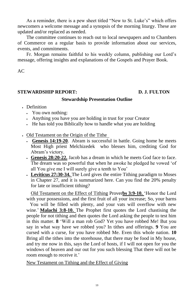As a reminder, there is a pew sheet titled "New to St. Luke's" which offers newcomers a welcome message and a synopsis of the morning liturgy. These are updated and/or replaced as needed.

The committee continues to reach out to local newspapers and to Chambers of Commerce on a regular basis to provide information about our services, events, and commitments.

Fr. Morgan remains faithful to his weekly column, publishing our Lord's message, offering insights and explanations of the Gospels and Prayer Book.

AC

### **STEWARDSHIP REPORT: D. J. FULTON**

### **Stewardship Presentation Outline**

- Definition
	- You own nothing:
	- Anything you have you are holding in trust for your Creator
	- He has told you Biblically how to handle what you are holding
- Old Testament on the Origin of the Tithe
	- **Genesis 14:19-20**. Abram is successful in battle. Going home he meets Most High priest Melchizedek who blesses him, crediting God for Abram's victory.
	- **Genesis 28:20-22.** Jacob has a dream in which he meets God face to face. The dream was so powerful that when he awoke he pledged he vowed 'of all You give me I will surely give a tenth to You'
	- **Leviticus 27:30-34.** The Lord gives the entire Tithing paradigm to Moses in Chapter 27, and it is summarized here. Can you find the 20% penalty for late or insufficient tithing?

Old Testament on the Effect of Tithing Prover**bs 3:9-10.** 'Honor the Lord with your possessions, and the first fruit of all your increase; So, your barns

You will be filled with plenty, and your vats will overflow with new wine.' **Malachi 3:8-10.** The Prophet first quotes the Lord chastising the people for not tithing and then quotes the Lord asking the people to test him in this matter. **8** 'Will a man rob God? Yet you have robbed Me! But you say in what way have we robbed you? In tithes and offerings. **9** You are cursed with a curse, for you have robbed Me. Even this whole nation. **10** Bring all the tithes into the storehouse, that there may be food in My house, and try me now in this, says the Lord of hosts, if I will not open for you the windows of heaven and our out for you such blessing That there will not be room enough to receive it.'

New Testament on Tithing and the Effect of Giving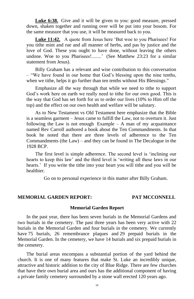**Luke 6:38.** Give and it will be given to you: good measure, pressed down, shaken together and running over will be put into your bosom. For the same measure that you use, it will be measured back to you.

Billy Graham has a relevant and wise contribution to this conversation – "We have found in our home that God's blessing upon the nine tenths, when we tithe, helps it go further than ten tenths without His Blessings."

**Luke 11:42.** A quote from Jesus here 'But woe to you Pharisees! For you tithe mint and rue and all manner of herbs, and pas by justice and the love of God. These you ought to have done, without leaving the others undone. Woe to you Pharisees!........' (See Matthew 23:23 for a similar statement from Jesus).

Emphasize all the way through that while we need to tithe to support God's work here on earth we really need to tithe for our own good. This is the way that God has set forth for us to order our lives (10% to Him off the top) and the effect on our own health and welfare will be salutary.

As to New Testament vs Old Testament here emphasize that the Bible is a seamless garment – Jesus came to fulfill the Law, not to overturn it. Just following the Law is not enough Example  $-$  A man of my acquaintance named Rev Carroll authored a book about the Ten Commandments. In that book he noted that there are three levels of adherence to the Ten Commandments (the Law) – and they can be found in The Decalogue in the 1928 BCP.

The first level is simple adherence. The second level is 'inclining our hearts to keep this law' and the third level is 'writing all these laws in our hearts.' If you write the tithe into your heart you will tithe and you will be healthier.

Go on to personal experience in this matter after Billy Graham.

### **MEMORIAL GARDEN REPORT: PAT MCCONNELL**

### **Memorial Garden Report**

In the past year, there has been seven burials in the Memorial Gardens and

two burials in the cemetery. The past three years has been very active with 22 burials in the Memorial Garden and four burials in the cemetery. We currently have 75 burials, 26 remembrance plaques and 29 prepaid burials in the Memorial Garden. In the cemetery, we have 14 burials and six prepaid burials in the cemetery.

The burial areas encompass a substantial portion of the yard behind the church. It is one of many features that make St. Luke an incredibly unique, attractive and historic addition to the city of Blue Ridge. There are few churches that have their own burial area and ours has the additional component of having a private family cemetery surrounded by a stone wall erected 120 years ago.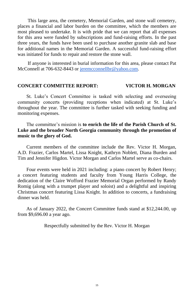If anyone is interested in burial information for this area, please contact Pat McConnell at 706-632-8443 or [jeremcconnellbr@yahoo.com.](mailto:jeremcconnellbr@yahoo.com)

This large area, the cemetery, Memorial Garden, and stone wall cemetery, places a financial and labor burden on the committee, which the members are most pleased to undertake. It is with pride that we can report that all expenses for this area were funded by subscriptions and fund-raising efforts. In the past three years, the funds have been used to purchase another granite slab and base for additional names in the Memorial Garden. A successful fund-raising effort was initiated for funds to repair and restore the stone wall.

### **CONCERT COMMITTEE REPORT: VICTOR H. MORGAN**

St. Luke's Concert Committee is tasked with selecting and overseeing community concerts (providing receptions when indicated) at St. Luke's throughout the year. The committee is further tasked with seeking funding and monitoring expenses.

### The committee's mission is **to enrich the life of the Parish Church of St. Luke and the broader North Georgia community through the promotion of music to the glory of God.**

Current members of the committee include the Rev. Victor H. Morgan, A.D. Frazier, Carlos Martel, Lissa Knight, Kathryn Noblett, Diana Burden and Tim and Jennifer Higdon. Victor Morgan and Carlos Martel serve as co-chairs.

Four events were held in 2021 including: a piano concert by Robert Henry; a concert featuring students and faculty from Young Harris College, the dedication of the Claire Wofford Frazier Memorial Organ performed by Randy Romig (along with a trumpet player and soloist) and a delightful and inspiring Christmas concert featuring Lissa Knight. In addition to concerts, a fundraising dinner was held.

As of January 2022, the Concert Committee funds stand at \$12,244.00, up from \$9,696.00 a year ago.

### Respectfully submitted by the Rev. Victor H. Morgan